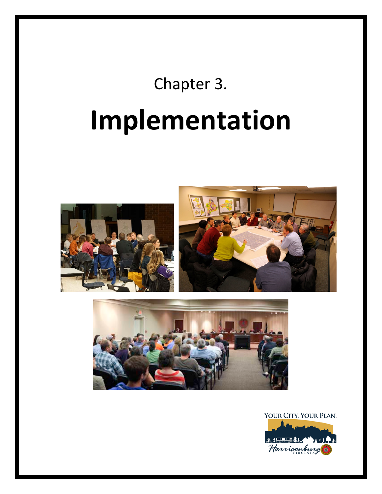# Chapter 3. **Implementation**





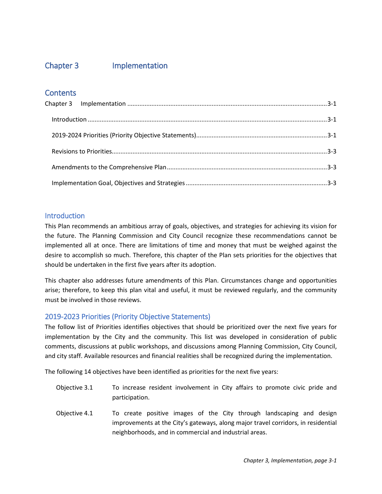## <span id="page-1-0"></span>Chapter 3 Implementation

## **Contents**

### <span id="page-1-1"></span>**Introduction**

This Plan recommends an ambitious array of goals, objectives, and strategies for achieving its vision for the future. The Planning Commission and City Council recognize these recommendations cannot be implemented all at once. There are limitations of time and money that must be weighed against the desire to accomplish so much. Therefore, this chapter of the Plan sets priorities for the objectives that should be undertaken in the first five years after its adoption.

This chapter also addresses future amendments of this Plan. Circumstances change and opportunities arise; therefore, to keep this plan vital and useful, it must be reviewed regularly, and the community must be involved in those reviews.

## <span id="page-1-2"></span>2019-2023 Priorities (Priority Objective Statements)

The follow list of Priorities identifies objectives that should be prioritized over the next five years for implementation by the City and the community. This list was developed in consideration of public comments, discussions at public workshops, and discussions among Planning Commission, City Council, and city staff. Available resources and financial realities shall be recognized during the implementation.

The following 14 objectives have been identified as priorities for the next five years:

- Objective 3.1 To increase resident involvement in City affairs to promote civic pride and participation.
- Objective 4.1 To create positive images of the City through landscaping and design improvements at the City's gateways, along major travel corridors, in residential neighborhoods, and in commercial and industrial areas.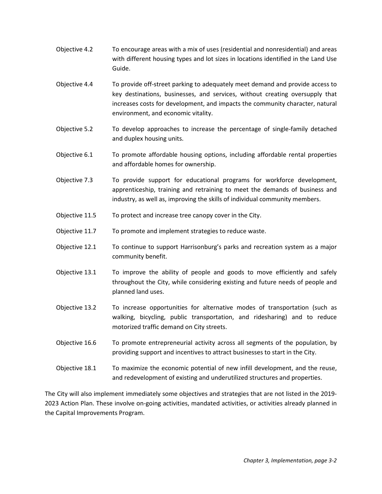- Objective 4.2 To encourage areas with a mix of uses (residential and nonresidential) and areas with different housing types and lot sizes in locations identified in the Land Use Guide.
- Objective 4.4 To provide off-street parking to adequately meet demand and provide access to key destinations, businesses, and services, without creating oversupply that increases costs for development, and impacts the community character, natural environment, and economic vitality.
- Objective 5.2 To develop approaches to increase the percentage of single-family detached and duplex housing units.
- Objective 6.1 To promote affordable housing options, including affordable rental properties and affordable homes for ownership.
- Objective 7.3 To provide support for educational programs for workforce development, apprenticeship, training and retraining to meet the demands of business and industry, as well as, improving the skills of individual community members.
- Objective 11.5 To protect and increase tree canopy cover in the City.
- Objective 11.7 To promote and implement strategies to reduce waste.
- Objective 12.1 To continue to support Harrisonburg's parks and recreation system as a major community benefit.
- Objective 13.1 To improve the ability of people and goods to move efficiently and safely throughout the City, while considering existing and future needs of people and planned land uses.
- Objective 13.2 To increase opportunities for alternative modes of transportation (such as walking, bicycling, public transportation, and ridesharing) and to reduce motorized traffic demand on City streets.
- Objective 16.6 To promote entrepreneurial activity across all segments of the population, by providing support and incentives to attract businesses to start in the City.
- Objective 18.1 To maximize the economic potential of new infill development, and the reuse, and redevelopment of existing and underutilized structures and properties.

The City will also implement immediately some objectives and strategies that are not listed in the 2019- 2023 Action Plan. These involve on-going activities, mandated activities, or activities already planned in the Capital Improvements Program.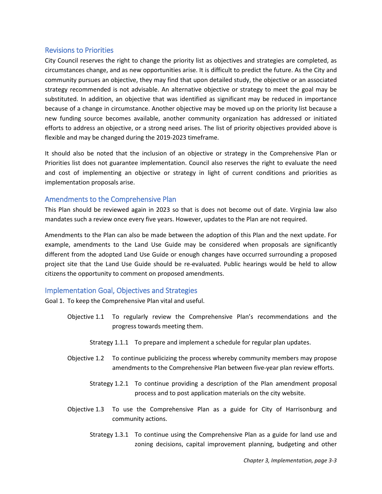#### <span id="page-3-0"></span>Revisions to Priorities

City Council reserves the right to change the priority list as objectives and strategies are completed, as circumstances change, and as new opportunities arise. It is difficult to predict the future. As the City and community pursues an objective, they may find that upon detailed study, the objective or an associated strategy recommended is not advisable. An alternative objective or strategy to meet the goal may be substituted. In addition, an objective that was identified as significant may be reduced in importance because of a change in circumstance. Another objective may be moved up on the priority list because a new funding source becomes available, another community organization has addressed or initiated efforts to address an objective, or a strong need arises. The list of priority objectives provided above is flexible and may be changed during the 2019-2023 timeframe.

It should also be noted that the inclusion of an objective or strategy in the Comprehensive Plan or Priorities list does not guarantee implementation. Council also reserves the right to evaluate the need and cost of implementing an objective or strategy in light of current conditions and priorities as implementation proposals arise.

#### <span id="page-3-1"></span>Amendments to the Comprehensive Plan

This Plan should be reviewed again in 2023 so that is does not become out of date. Virginia law also mandates such a review once every five years. However, updates to the Plan are not required.

Amendments to the Plan can also be made between the adoption of this Plan and the next update. For example, amendments to the Land Use Guide may be considered when proposals are significantly different from the adopted Land Use Guide or enough changes have occurred surrounding a proposed project site that the Land Use Guide should be re-evaluated. Public hearings would be held to allow citizens the opportunity to comment on proposed amendments.

#### <span id="page-3-2"></span>Implementation Goal, Objectives and Strategies

Goal 1. To keep the Comprehensive Plan vital and useful.

- Objective 1.1 To regularly review the Comprehensive Plan's recommendations and the progress towards meeting them.
	- Strategy 1.1.1 To prepare and implement a schedule for regular plan updates.
- Objective 1.2 To continue publicizing the process whereby community members may propose amendments to the Comprehensive Plan between five-year plan review efforts.
	- Strategy 1.2.1 To continue providing a description of the Plan amendment proposal process and to post application materials on the city website.
- Objective 1.3 To use the Comprehensive Plan as a guide for City of Harrisonburg and community actions.
	- Strategy 1.3.1 To continue using the Comprehensive Plan as a guide for land use and zoning decisions, capital improvement planning, budgeting and other